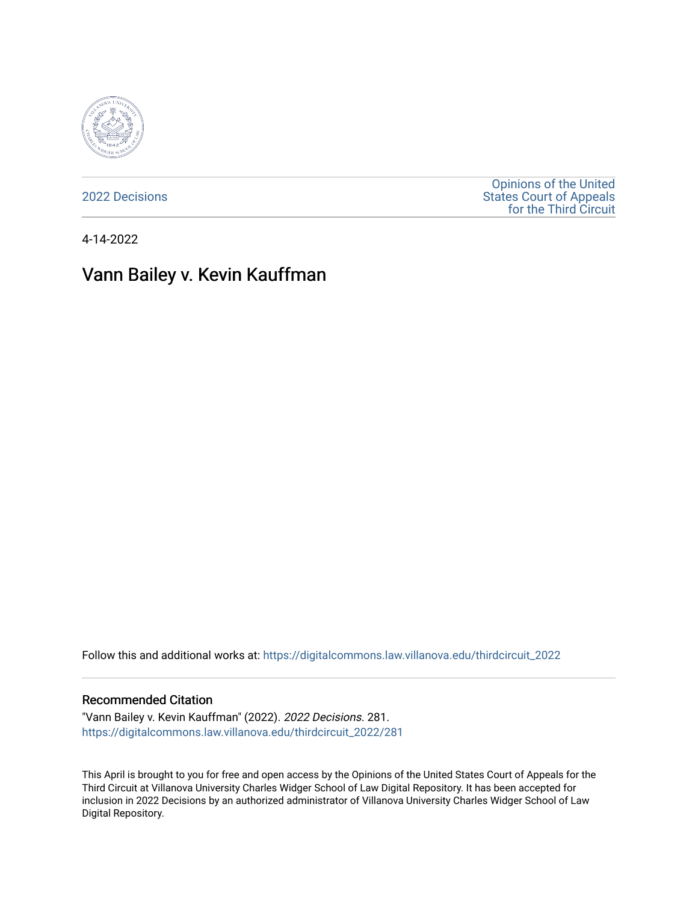

[2022 Decisions](https://digitalcommons.law.villanova.edu/thirdcircuit_2022)

[Opinions of the United](https://digitalcommons.law.villanova.edu/thirdcircuit)  [States Court of Appeals](https://digitalcommons.law.villanova.edu/thirdcircuit)  [for the Third Circuit](https://digitalcommons.law.villanova.edu/thirdcircuit) 

4-14-2022

# Vann Bailey v. Kevin Kauffman

Follow this and additional works at: [https://digitalcommons.law.villanova.edu/thirdcircuit\\_2022](https://digitalcommons.law.villanova.edu/thirdcircuit_2022?utm_source=digitalcommons.law.villanova.edu%2Fthirdcircuit_2022%2F281&utm_medium=PDF&utm_campaign=PDFCoverPages) 

### Recommended Citation

"Vann Bailey v. Kevin Kauffman" (2022). 2022 Decisions. 281. [https://digitalcommons.law.villanova.edu/thirdcircuit\\_2022/281](https://digitalcommons.law.villanova.edu/thirdcircuit_2022/281?utm_source=digitalcommons.law.villanova.edu%2Fthirdcircuit_2022%2F281&utm_medium=PDF&utm_campaign=PDFCoverPages)

This April is brought to you for free and open access by the Opinions of the United States Court of Appeals for the Third Circuit at Villanova University Charles Widger School of Law Digital Repository. It has been accepted for inclusion in 2022 Decisions by an authorized administrator of Villanova University Charles Widger School of Law Digital Repository.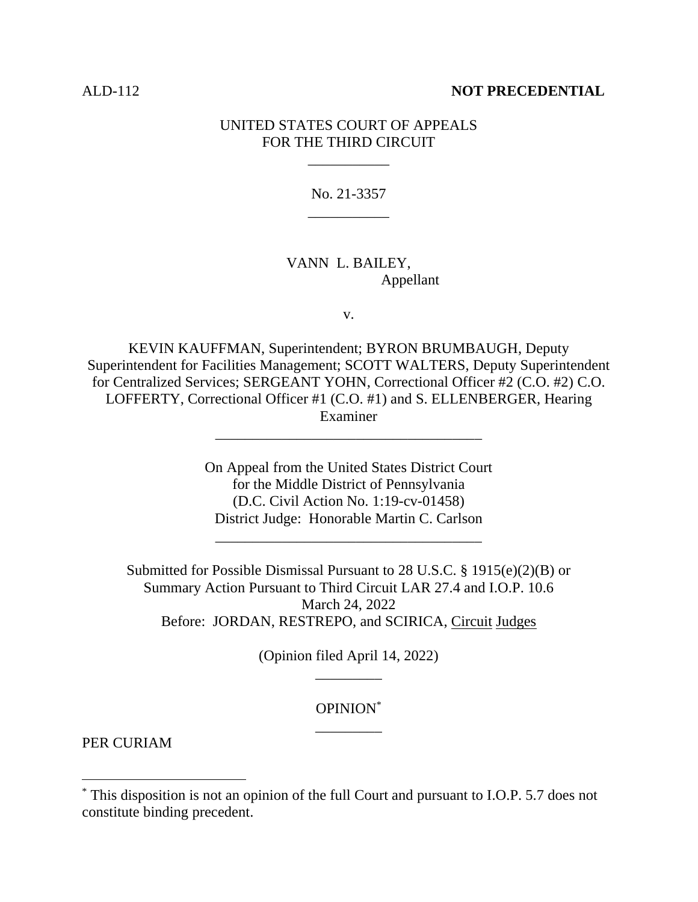### ALD-112 **NOT PRECEDENTIAL**

# UNITED STATES COURT OF APPEALS FOR THE THIRD CIRCUIT

\_\_\_\_\_\_\_\_\_\_\_

No. 21-3357 \_\_\_\_\_\_\_\_\_\_\_

## VANN L. BAILEY, Appellant

v.

KEVIN KAUFFMAN, Superintendent; BYRON BRUMBAUGH, Deputy Superintendent for Facilities Management; SCOTT WALTERS, Deputy Superintendent for Centralized Services; SERGEANT YOHN, Correctional Officer #2 (C.O. #2) C.O. LOFFERTY, Correctional Officer #1 (C.O. #1) and S. ELLENBERGER, Hearing Examiner

\_\_\_\_\_\_\_\_\_\_\_\_\_\_\_\_\_\_\_\_\_\_\_\_\_\_\_\_\_\_\_\_\_\_\_\_

On Appeal from the United States District Court for the Middle District of Pennsylvania (D.C. Civil Action No. 1:19-cv-01458) District Judge: Honorable Martin C. Carlson

\_\_\_\_\_\_\_\_\_\_\_\_\_\_\_\_\_\_\_\_\_\_\_\_\_\_\_\_\_\_\_\_\_\_\_\_

Submitted for Possible Dismissal Pursuant to 28 U.S.C. § 1915(e)(2)(B) or Summary Action Pursuant to Third Circuit LAR 27.4 and I.O.P. 10.6 March 24, 2022 Before: JORDAN, RESTREPO, and SCIRICA, Circuit Judges

> (Opinion filed April 14, 2022) \_\_\_\_\_\_\_\_\_

# OPINION\* \_\_\_\_\_\_\_\_\_

PER CURIAM

<sup>\*</sup> This disposition is not an opinion of the full Court and pursuant to I.O.P. 5.7 does not constitute binding precedent.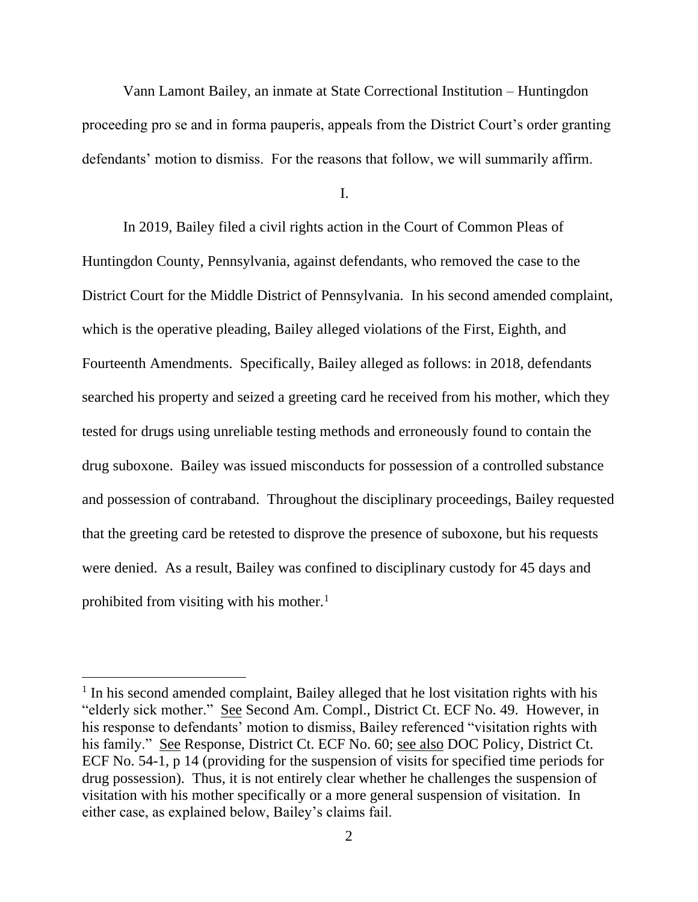Vann Lamont Bailey, an inmate at State Correctional Institution – Huntingdon proceeding pro se and in forma pauperis, appeals from the District Court's order granting defendants' motion to dismiss. For the reasons that follow, we will summarily affirm.

I.

In 2019, Bailey filed a civil rights action in the Court of Common Pleas of Huntingdon County, Pennsylvania, against defendants, who removed the case to the District Court for the Middle District of Pennsylvania. In his second amended complaint, which is the operative pleading, Bailey alleged violations of the First, Eighth, and Fourteenth Amendments. Specifically, Bailey alleged as follows: in 2018, defendants searched his property and seized a greeting card he received from his mother, which they tested for drugs using unreliable testing methods and erroneously found to contain the drug suboxone. Bailey was issued misconducts for possession of a controlled substance and possession of contraband. Throughout the disciplinary proceedings, Bailey requested that the greeting card be retested to disprove the presence of suboxone, but his requests were denied. As a result, Bailey was confined to disciplinary custody for 45 days and prohibited from visiting with his mother. $<sup>1</sup>$ </sup>

<sup>&</sup>lt;sup>1</sup> In his second amended complaint, Bailey alleged that he lost visitation rights with his "elderly sick mother." See Second Am. Compl., District Ct. ECF No. 49. However, in his response to defendants' motion to dismiss, Bailey referenced "visitation rights with his family." See Response, District Ct. ECF No. 60; see also DOC Policy, District Ct. ECF No. 54-1, p 14 (providing for the suspension of visits for specified time periods for drug possession). Thus, it is not entirely clear whether he challenges the suspension of visitation with his mother specifically or a more general suspension of visitation. In either case, as explained below, Bailey's claims fail.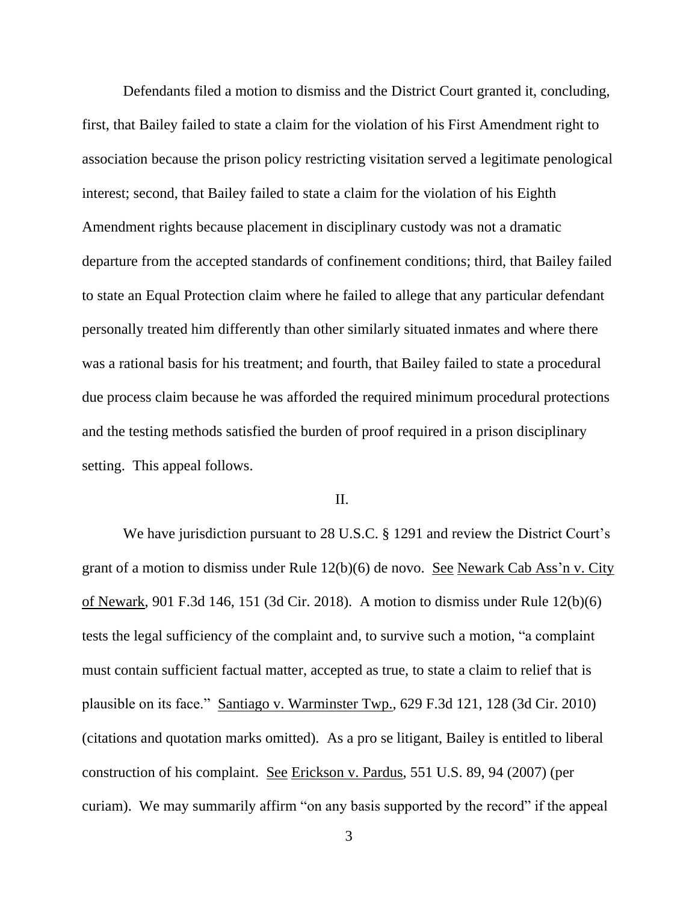Defendants filed a motion to dismiss and the District Court granted it, concluding, first, that Bailey failed to state a claim for the violation of his First Amendment right to association because the prison policy restricting visitation served a legitimate penological interest; second, that Bailey failed to state a claim for the violation of his Eighth Amendment rights because placement in disciplinary custody was not a dramatic departure from the accepted standards of confinement conditions; third, that Bailey failed to state an Equal Protection claim where he failed to allege that any particular defendant personally treated him differently than other similarly situated inmates and where there was a rational basis for his treatment; and fourth, that Bailey failed to state a procedural due process claim because he was afforded the required minimum procedural protections and the testing methods satisfied the burden of proof required in a prison disciplinary setting. This appeal follows.

### II.

We have jurisdiction pursuant to 28 U.S.C. § 1291 and review the District Court's grant of a motion to dismiss under Rule 12(b)(6) de novo. See Newark Cab Ass'n v. City of Newark, 901 F.3d 146, 151 (3d Cir. 2018). A motion to dismiss under Rule 12(b)(6) tests the legal sufficiency of the complaint and, to survive such a motion, "a complaint must contain sufficient factual matter, accepted as true, to state a claim to relief that is plausible on its face." Santiago v. Warminster Twp., 629 F.3d 121, 128 (3d Cir. 2010) (citations and quotation marks omitted). As a pro se litigant, Bailey is entitled to liberal construction of his complaint. See Erickson v. Pardus, 551 U.S. 89, 94 (2007) (per curiam). We may summarily affirm "on any basis supported by the record" if the appeal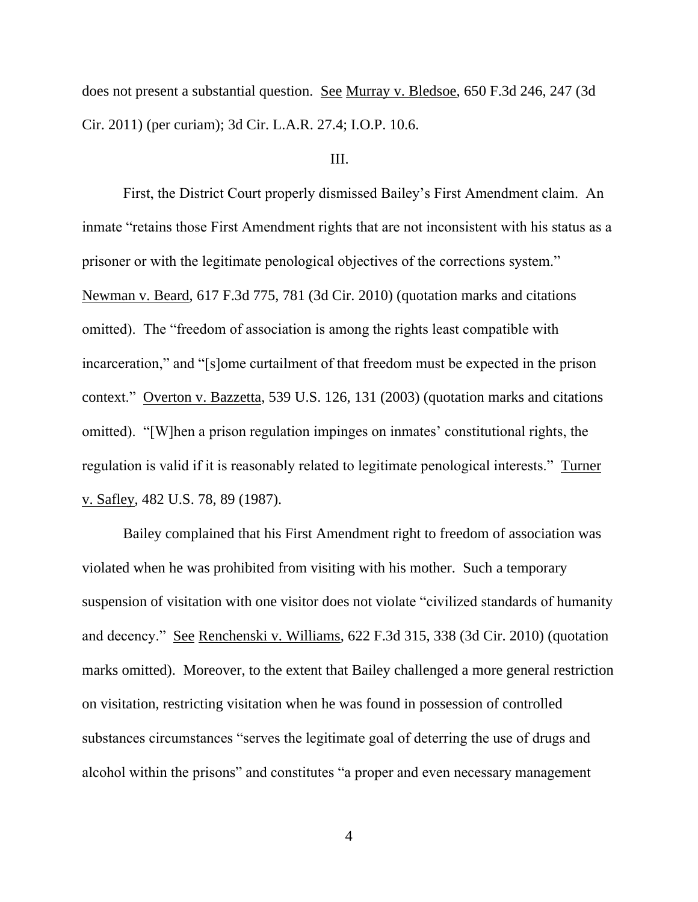does not present a substantial question. See Murray v. Bledsoe, 650 F.3d 246, 247 (3d Cir. 2011) (per curiam); 3d Cir. L.A.R. 27.4; I.O.P. 10.6.

### III.

First, the District Court properly dismissed Bailey's First Amendment claim. An inmate "retains those First Amendment rights that are not inconsistent with his status as a prisoner or with the legitimate penological objectives of the corrections system." Newman v. Beard, 617 F.3d 775, 781 (3d Cir. 2010) (quotation marks and citations omitted). The "freedom of association is among the rights least compatible with incarceration," and "[s]ome curtailment of that freedom must be expected in the prison context." Overton v. Bazzetta, 539 U.S. 126, 131 (2003) (quotation marks and citations omitted). "[W]hen a prison regulation impinges on inmates' constitutional rights, the regulation is valid if it is reasonably related to legitimate penological interests." Turner v. Safley, 482 U.S. 78, 89 (1987).

Bailey complained that his First Amendment right to freedom of association was violated when he was prohibited from visiting with his mother. Such a temporary suspension of visitation with one visitor does not violate "civilized standards of humanity and decency." See Renchenski v. Williams, 622 F.3d 315, 338 (3d Cir. 2010) (quotation marks omitted). Moreover, to the extent that Bailey challenged a more general restriction on visitation, restricting visitation when he was found in possession of controlled substances circumstances "serves the legitimate goal of deterring the use of drugs and alcohol within the prisons" and constitutes "a proper and even necessary management

4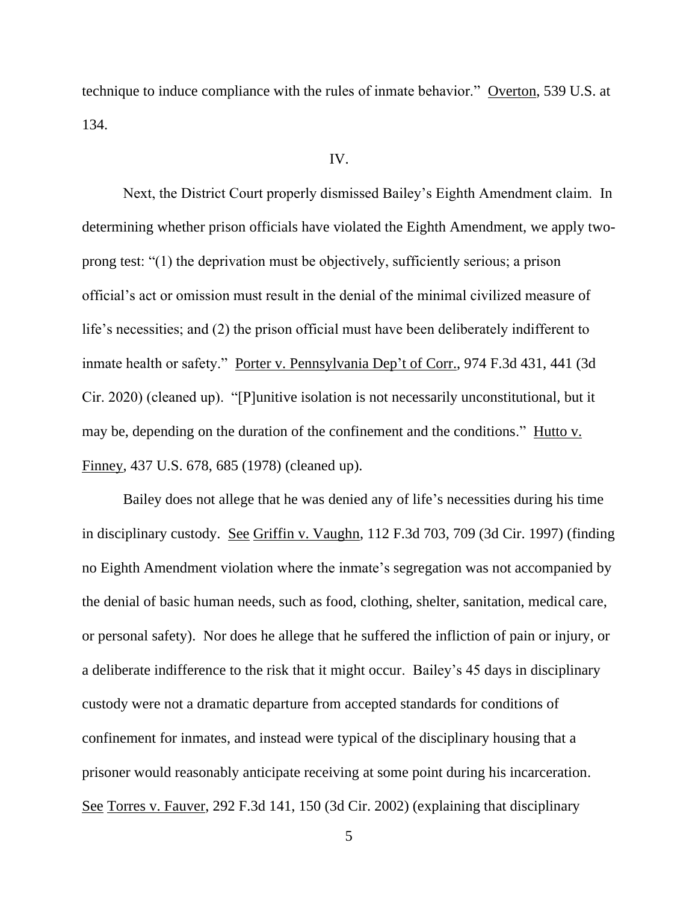technique to induce compliance with the rules of inmate behavior." Overton, 539 U.S. at 134.

### IV.

Next, the District Court properly dismissed Bailey's Eighth Amendment claim.In determining whether prison officials have violated the Eighth Amendment, we apply twoprong test: "(1) the deprivation must be objectively, sufficiently serious; a prison official's act or omission must result in the denial of the minimal civilized measure of life's necessities; and (2) the prison official must have been deliberately indifferent to inmate health or safety." Porter v. Pennsylvania Dep't of Corr., 974 F.3d 431, 441 (3d Cir. 2020) (cleaned up). "[P]unitive isolation is not necessarily unconstitutional, but it may be, depending on the duration of the confinement and the conditions." Hutto v. Finney, 437 U.S. 678, 685 (1978) (cleaned up).

Bailey does not allege that he was denied any of life's necessities during his time in disciplinary custody. See Griffin v. Vaughn, 112 F.3d 703, 709 (3d Cir. 1997) (finding no Eighth Amendment violation where the inmate's segregation was not accompanied by the denial of basic human needs, such as food, clothing, shelter, sanitation, medical care, or personal safety). Nor does he allege that he suffered the infliction of pain or injury, or a deliberate indifference to the risk that it might occur. Bailey's 45 days in disciplinary custody were not a dramatic departure from accepted standards for conditions of confinement for inmates, and instead were typical of the disciplinary housing that a prisoner would reasonably anticipate receiving at some point during his incarceration. See Torres v. Fauver, 292 F.3d 141, 150 (3d Cir. 2002) (explaining that disciplinary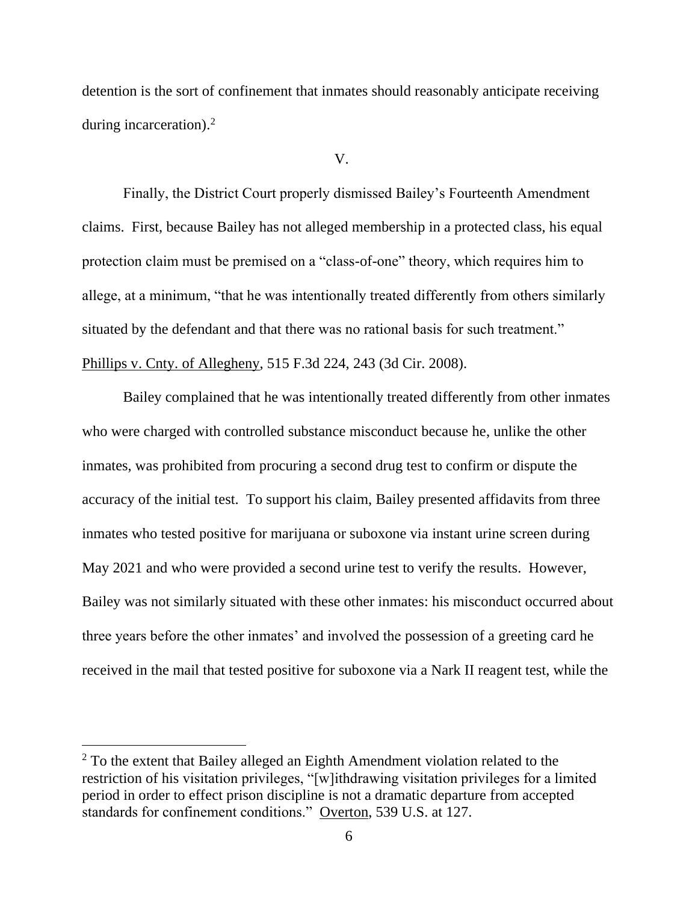detention is the sort of confinement that inmates should reasonably anticipate receiving during incarceration).<sup>2</sup>

### V.

Finally, the District Court properly dismissed Bailey's Fourteenth Amendment claims. First, because Bailey has not alleged membership in a protected class, his equal protection claim must be premised on a "class-of-one" theory, which requires him to allege, at a minimum, "that he was intentionally treated differently from others similarly situated by the defendant and that there was no rational basis for such treatment." Phillips v. Cnty. of Allegheny, 515 F.3d 224, 243 (3d Cir. 2008).

Bailey complained that he was intentionally treated differently from other inmates who were charged with controlled substance misconduct because he, unlike the other inmates, was prohibited from procuring a second drug test to confirm or dispute the accuracy of the initial test. To support his claim, Bailey presented affidavits from three inmates who tested positive for marijuana or suboxone via instant urine screen during May 2021 and who were provided a second urine test to verify the results. However, Bailey was not similarly situated with these other inmates: his misconduct occurred about three years before the other inmates' and involved the possession of a greeting card he received in the mail that tested positive for suboxone via a Nark II reagent test, while the

<sup>&</sup>lt;sup>2</sup> To the extent that Bailey alleged an Eighth Amendment violation related to the restriction of his visitation privileges, "[w]ithdrawing visitation privileges for a limited period in order to effect prison discipline is not a dramatic departure from accepted standards for confinement conditions." Overton, 539 U.S. at 127.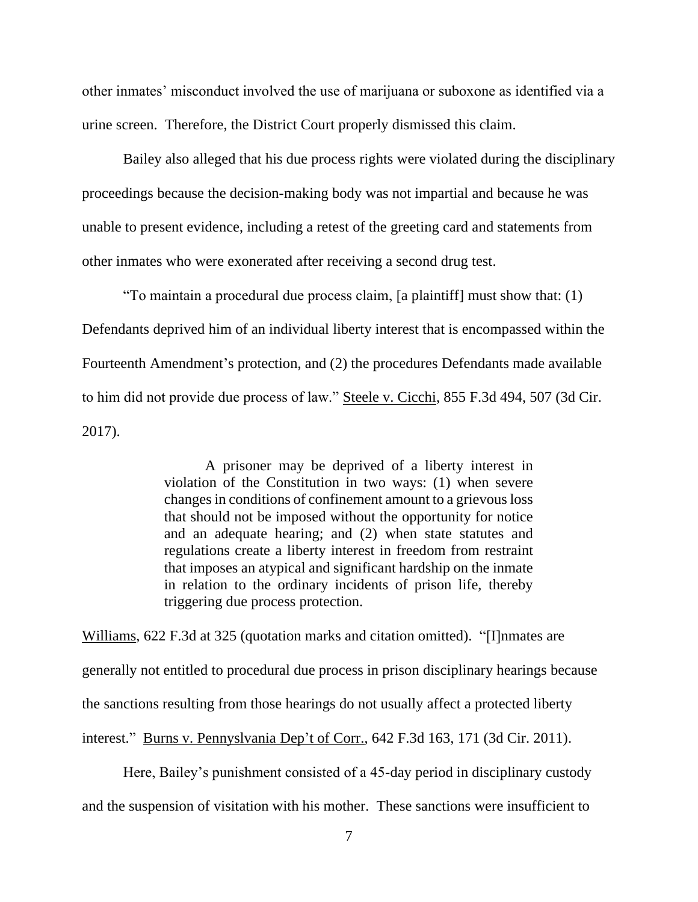other inmates' misconduct involved the use of marijuana or suboxone as identified via a urine screen. Therefore, the District Court properly dismissed this claim.

Bailey also alleged that his due process rights were violated during the disciplinary proceedings because the decision-making body was not impartial and because he was unable to present evidence, including a retest of the greeting card and statements from other inmates who were exonerated after receiving a second drug test.

"To maintain a procedural due process claim, [a plaintiff] must show that: (1) Defendants deprived him of an individual liberty interest that is encompassed within the Fourteenth Amendment's protection, and (2) the procedures Defendants made available to him did not provide due process of law." Steele v. Cicchi, 855 F.3d 494, 507 (3d Cir. 2017).

> A prisoner may be deprived of a liberty interest in violation of the Constitution in two ways: (1) when severe changes in conditions of confinement amount to a grievous loss that should not be imposed without the opportunity for notice and an adequate hearing; and (2) when state statutes and regulations create a liberty interest in freedom from restraint that imposes an atypical and significant hardship on the inmate in relation to the ordinary incidents of prison life, thereby triggering due process protection.

Williams, 622 F.3d at 325 (quotation marks and citation omitted). "[I]nmates are generally not entitled to procedural due process in prison disciplinary hearings because the sanctions resulting from those hearings do not usually affect a protected liberty interest." Burns v. Pennyslvania Dep't of Corr., 642 F.3d 163, 171 (3d Cir. 2011).

Here, Bailey's punishment consisted of a 45-day period in disciplinary custody and the suspension of visitation with his mother. These sanctions were insufficient to